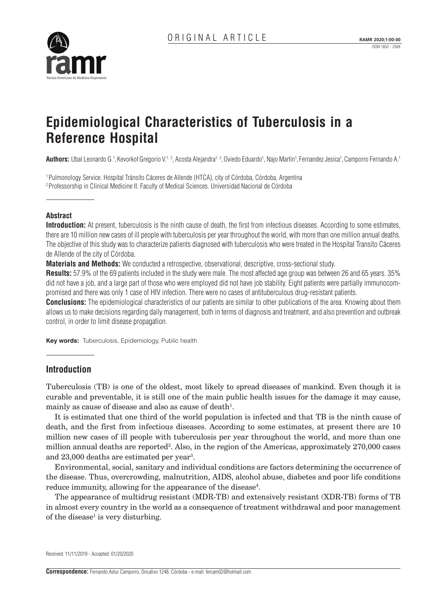# **Epidemiological Characteristics of Tuberculosis in a Reference Hospital**

**Authors:** Ubal Leonardo G.1, Kevorkof Gregorio V.<sup>1, 2</sup>, Acosta Alejandra<sup>1, 2</sup>, Oviedo Eduardo<sup>1</sup>, Najo Martin<sup>1</sup>, Fernandez Jesica<sup>1</sup>, Camporro Fernando A.<sup>1</sup>

1 Pulmonology Service. Hospital Tránsito Cáceres de Allende (HTCA), city of Córdoba, Córdoba, Argentina 2 Professorship in Clinical Medicine II. Faculty of Medical Sciences. Universidad Nacional de Córdoba

## **Abstract**

**Introduction:** At present, tuberculosis is the ninth cause of death, the first from infectious diseases. According to some estimates, there are 10 million new cases of ill people with tuberculosis per year throughout the world, with more than one million annual deaths. The objective of this study was to characterize patients diagnosed with tuberculosis who were treated in the Hospital Transito Cáceres de Allende of the city of Córdoba.

**Materials and Methods:** We conducted a retrospective, observational, descriptive, cross-sectional study.

**Results:** 57.9% of the 69 patients included in the study were male. The most affected age group was between 26 and 65 years. 35% did not have a job, and a large part of those who were employed did not have job stability. Eight patients were partially immunocompromised and there was only 1 case of HIV infection. There were no cases of antituberculous drug-resistant patients.

**Conclusions:** The epidemiological characteristics of our patients are similar to other publications of the area. Knowing about them allows us to make decisions regarding daily management, both in terms of diagnosis and treatment, and also prevention and outbreak control, in order to limit disease propagation.

**Key words:** Tuberculosis, Epidemiology, Public health

# **Introduction**

Tuberculosis (TB) is one of the oldest, most likely to spread diseases of mankind. Even though it is curable and preventable, it is still one of the main public health issues for the damage it may cause, mainly as cause of disease and also as cause of death<sup>1</sup>.

It is estimated that one third of the world population is infected and that TB is the ninth cause of death, and the first from infectious diseases. According to some estimates, at present there are 10 million new cases of ill people with tuberculosis per year throughout the world, and more than one million annual deaths are reported<sup>2</sup>. Also, in the region of the Americas, approximately 270,000 cases and 23,000 deaths are estimated per year<sup>3</sup>.

Environmental, social, sanitary and individual conditions are factors determining the occurrence of the disease. Thus, overcrowding, malnutrition, AIDS, alcohol abuse, diabetes and poor life conditions reduce immunity, allowing for the appearance of the disease<sup>4</sup>.

The appearance of multidrug resistant (MDR-TB) and extensively resistant (XDR-TB) forms of TB in almost every country in the world as a consequence of treatment withdrawal and poor management of the disease<sup>1</sup> is very disturbing.

Received: 11/11/2019 - Accepted: 01/20/2020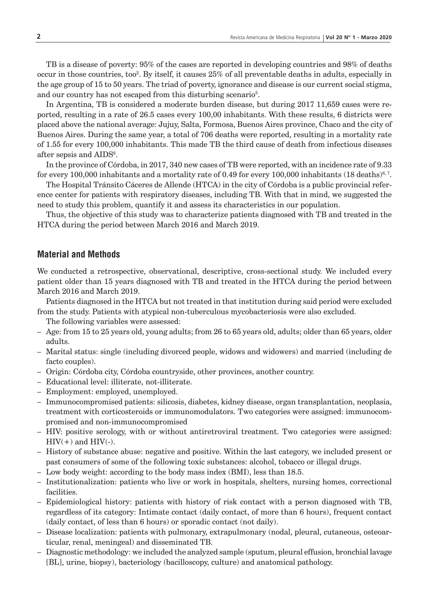TB is a disease of poverty: 95% of the cases are reported in developing countries and 98% of deaths occur in those countries, too<sup>2</sup>. By itself, it causes 25% of all preventable deaths in adults, especially in the age group of 15 to 50 years. The triad of poverty, ignorance and disease is our current social stigma, and our country has not escaped from this disturbing scenario<sup>5</sup>.

In Argentina, TB is considered a moderate burden disease, but during 2017 11,659 cases were reported, resulting in a rate of 26.5 cases every 100,00 inhabitants. With these results, 6 districts were placed above the national average: Jujuy, Salta, Formosa, Buenos Aires province, Chaco and the city of Buenos Aires. During the same year, a total of 706 deaths were reported, resulting in a mortality rate of 1.55 for every 100,000 inhabitants. This made TB the third cause of death from infectious diseases after sepsis and  $\text{AIDS}^6$ .

In the province of Córdoba, in 2017, 340 new cases of TB were reported, with an incidence rate of 9.33 for every 100,000 inhabitants and a mortality rate of 0.49 for every 100,000 inhabitants (18 deaths)<sup>6, 7</sup>.

The Hospital Tránsito Cáceres de Allende (HTCA) in the city of Córdoba is a public provincial reference center for patients with respiratory diseases, including TB. With that in mind, we suggested the need to study this problem, quantify it and assess its characteristics in our population.

Thus, the objective of this study was to characterize patients diagnosed with TB and treated in the HTCA during the period between March 2016 and March 2019.

#### **Material and Methods**

We conducted a retrospective, observational, descriptive, cross-sectional study. We included every patient older than 15 years diagnosed with TB and treated in the HTCA during the period between March 2016 and March 2019.

Patients diagnosed in the HTCA but not treated in that institution during said period were excluded from the study. Patients with atypical non-tuberculous mycobacteriosis were also excluded.

The following variables were assessed:

- Age: from 15 to 25 years old, young adults; from 26 to 65 years old, adults; older than 65 years, older adults.
- Marital status: single (including divorced people, widows and widowers) and married (including de facto couples).
- Origin: Córdoba city, Córdoba countryside, other provinces, another country.
- Educational level: illiterate, not-illiterate.
- Employment: employed, unemployed.
- Immunocompromised patients: silicosis, diabetes, kidney disease, organ transplantation, neoplasia, treatment with corticosteroids or immunomodulators. Two categories were assigned: immunocompromised and non-immunocompromised
- HIV: positive serology, with or without antiretroviral treatment. Two categories were assigned:  $HIV(+)$  and  $HIV(-)$ .
- History of substance abuse: negative and positive. Within the last category, we included present or past consumers of some of the following toxic substances: alcohol, tobacco or illegal drugs.
- Low body weight: according to the body mass index (BMI), less than 18.5.
- Institutionalization: patients who live or work in hospitals, shelters, nursing homes, correctional facilities.
- Epidemiological history: patients with history of risk contact with a person diagnosed with TB, regardless of its category: Intimate contact (daily contact, of more than 6 hours), frequent contact (daily contact, of less than 6 hours) or sporadic contact (not daily).
- Disease localization: patients with pulmonary, extrapulmonary (nodal, pleural, cutaneous, osteoarticular, renal, meningeal) and disseminated TB.
- Diagnostic methodology: we included the analyzed sample (sputum, pleural effusion, bronchial lavage [BL], urine, biopsy), bacteriology (bacilloscopy, culture) and anatomical pathology.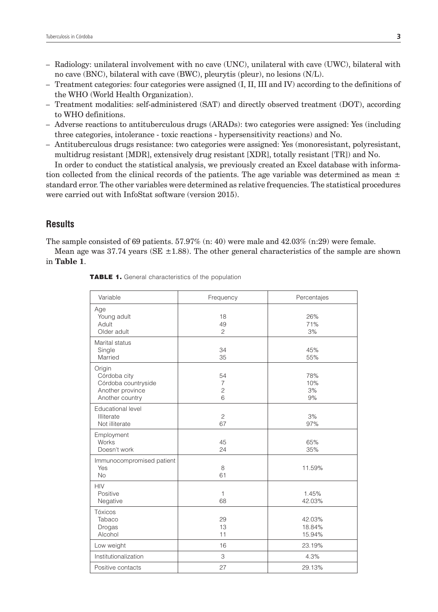- Radiology: unilateral involvement with no cave (UNC), unilateral with cave (UWC), bilateral with no cave (BNC), bilateral with cave (BWC), pleurytis (pleur), no lesions (N/L).
- Treatment categories: four categories were assigned (I, II, III and IV) according to the definitions of the WHO (World Health Organization).
- Treatment modalities: self-administered (SAT) and directly observed treatment (DOT), according to WHO definitions.
- Adverse reactions to antituberculous drugs (ARADs): two categories were assigned: Yes (including three categories, intolerance - toxic reactions - hypersensitivity reactions) and No.
- Antituberculous drugs resistance: two categories were assigned: Yes (monoresistant, polyresistant, multidrug resistant [MDR], extensively drug resistant [XDR], totally resistant [TR]) and No.

In order to conduct the statistical analysis, we previously created an Excel database with information collected from the clinical records of the patients. The age variable was determined as mean  $\pm$ standard error. The other variables were determined as relative frequencies. The statistical procedures were carried out with InfoStat software (version 2015).

# **Results**

The sample consisted of 69 patients.  $57.97\%$  (n: 40) were male and  $42.03\%$  (n:29) were female.

Mean age was  $37.74$  years (SE  $\pm$ 1.88). The other general characteristics of the sample are shown in **Table 1**.

| Variable                                                                             | Frequency                      | Percentajes                |
|--------------------------------------------------------------------------------------|--------------------------------|----------------------------|
| Age<br>Young adult<br>Adult<br>Older adult                                           | 18<br>49<br>$\overline{c}$     | 26%<br>71%<br>3%           |
| Marital status<br>Single<br>Married                                                  | 34<br>35                       | 45%<br>55%                 |
| Origin<br>Córdoba city<br>Córdoba countryside<br>Another province<br>Another country | 54<br>7<br>$\overline{c}$<br>6 | 78%<br>10%<br>3%<br>9%     |
| Educational level<br>Illiterate<br>Not illiterate                                    | $\overline{c}$<br>67           | 3%<br>97%                  |
| Employment<br>Works<br>Doesn't work                                                  | 45<br>24                       | 65%<br>35%                 |
| Immunocompromised patient<br>Yes<br><b>No</b>                                        | 8<br>61                        | 11.59%                     |
| <b>HIV</b><br>Positive<br>Negative                                                   | 1<br>68                        | 1.45%<br>42.03%            |
| Tóxicos<br>Tabaco<br>Drogas<br>Alcohol                                               | 29<br>13<br>11                 | 42.03%<br>18.84%<br>15.94% |
| Low weight                                                                           | 16                             | 23.19%                     |
| Institutionalization                                                                 | 3                              | 4.3%                       |
| Positive contacts                                                                    | 27                             | 29.13%                     |

TABLE 1. General characteristics of the population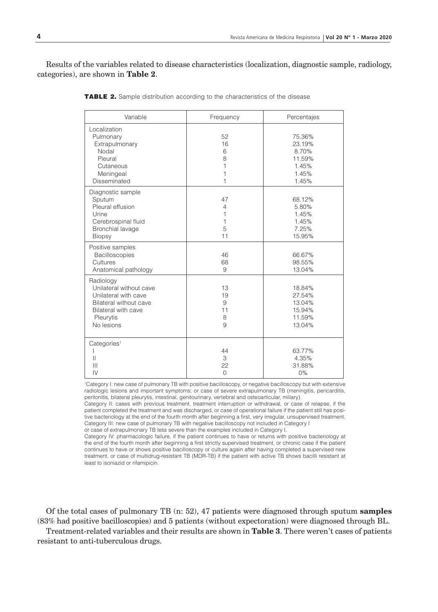Results of the variables related to disease characteristics (localization, diagnostic sample, radiology, categories), are shown in **Table 2**.

| Variable                                                                                                                                 | Frequency                         | Percentajes                                                    |
|------------------------------------------------------------------------------------------------------------------------------------------|-----------------------------------|----------------------------------------------------------------|
| Localization<br>Pulmonary<br>Extrapulmonary<br>Nodal<br>Pleural<br>Cutaneous<br>Meningeal<br>Disseminated                                | 52<br>16<br>6<br>8<br>1<br>1<br>1 | 75.36%<br>23.19%<br>8.70%<br>11.59%<br>1.45%<br>1.45%<br>1.45% |
| Diagnostic sample<br>Sputum<br>Pleural effusion<br>Urine<br>Cerebrospinal fluid<br>Bronchial lavage<br><b>Biopsy</b>                     | 47<br>4<br>1<br>1<br>5<br>11      | 68.12%<br>5.80%<br>1.45%<br>1.45%<br>7.25%<br>15.95%           |
| Positive samples<br>Bacilloscopies<br>Cultures<br>Anatomical pathology                                                                   | 46<br>68<br>9                     | 66.67%<br>98.55%<br>13.04%                                     |
| Radiology<br>Unilateral without cave<br>Unilateral with cave<br>Bilateral without cave<br>Bilateral with cave<br>Pleurytis<br>No lesions | 13<br>19<br>9<br>11<br>8<br>9     | 18.84%<br>27.54%<br>13.04%<br>15.94%<br>11.59%<br>13.04%       |
| Categoríes <sup>1</sup><br>$\mathbf{I}$<br>Ш<br>$\mathsf{IV}$                                                                            | 44<br>3<br>22<br>$\Omega$         | 63.77%<br>4.35%<br>31.88%<br>0%                                |

**TABLE 2.** Sample distribution according to the characteristics of the disease

1 Category I: new case of pulmonary TB with positive bacilloscopy, or negative bacilloscopy but with extensive radiologic lesions and important symptoms; or case of severe extrapulmonary TB (meningitis, pericarditis, peritonitis, bilateral pleurytis, intestinal, genitourinary, vertebral and osteoarticular, miliary).

Category II: cases with previous treatment. treatment interruption or withdrawal, or case of relapse, if the patient completed the treatment and was discharged, or case of operational failure if the patient still has positive bacteriology at the end of the fourth month after beginning a first, very irregular, unsupervised treatment. Category III: new case of pulmonary TB with negative bacilloscopy not included in Category I or case of extrapulmonary TB less severe than the examples included in Category I.

Category IV: pharmacologic failure, if the patient continues to have or returns with positive bacteriology at

the end of the fourth month after beginning a first strictly supervised treatment, or chronic case if the patient continues to have or shows positive bacilloscopy or culture again after having completed a supervised new treatment, or case of multidrug-resistant TB (MDR-TB) if the patient with active TB shows bacilli resistant at least to isoniazid or rifamipicin.

Of the total cases of pulmonary TB (n: 52), 47 patients were diagnosed through sputum **samples** (83% had positive bacilloscopies) and 5 patients (without expectoration) were diagnosed through BL.

Treatment-related variables and their results are shown in **Table 3**. There weren't cases of patients resistant to anti-tuberculous drugs.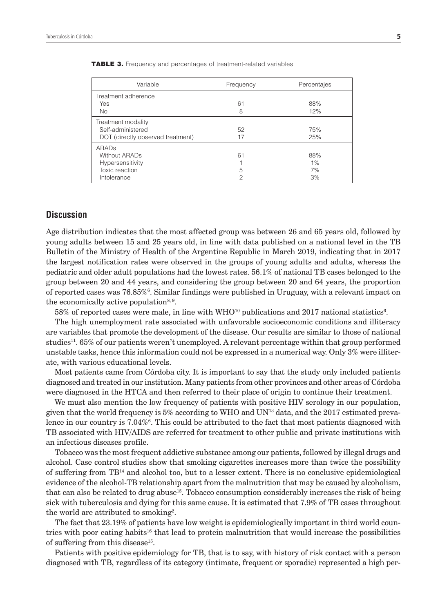| Variable                                                                           | Frequency    | Percentajes              |
|------------------------------------------------------------------------------------|--------------|--------------------------|
| Treatment adherence<br><b>Yes</b><br><b>No</b>                                     | 61<br>8      | 88%<br>12%               |
| Treatment modality<br>Self-administered<br>DOT (directly observed treatment)       | 52<br>17     | 75%<br>25%               |
| ARADS<br><b>Without ARADs</b><br>Hypersensitivity<br>Toxic reaction<br>Intolerance | 61<br>5<br>2 | 88%<br>$1\%$<br>7%<br>3% |

TABLE 3. Frequency and percentages of treatment-related variables

#### **Discussion**

Age distribution indicates that the most affected group was between 26 and 65 years old, followed by young adults between 15 and 25 years old, in line with data published on a national level in the TB Bulletin of the Ministry of Health of the Argentine Republic in March 2019, indicating that in 2017 the largest notification rates were observed in the groups of young adults and adults, whereas the pediatric and older adult populations had the lowest rates. 56.1% of national TB cases belonged to the group between 20 and 44 years, and considering the group between 20 and 64 years, the proportion of reported cases was 76.85%<sup>6</sup>. Similar findings were published in Uruguay, with a relevant impact on the economically active population<sup>8, 9</sup>.

 $58\%$  of reported cases were male, in line with WHO<sup>10</sup> publications and 2017 national statistics<sup>6</sup>.

The high unemployment rate associated with unfavorable socioeconomic conditions and illiteracy are variables that promote the development of the disease. Our results are similar to those of national studies<sup>11</sup>. 65% of our patients weren't unemployed. A relevant percentage within that group performed unstable tasks, hence this information could not be expressed in a numerical way. Only 3% were illiterate, with various educational levels.

Most patients came from Córdoba city. It is important to say that the study only included patients diagnosed and treated in our institution. Many patients from other provinces and other areas of Córdoba were diagnosed in the HTCA and then referred to their place of origin to continue their treatment.

We must also mention the low frequency of patients with positive HIV serology in our population, given that the world frequency is  $5\%$  according to WHO and UN<sup>13</sup> data, and the 2017 estimated prevalence in our country is  $7.04\%$ <sup>6</sup>. This could be attributed to the fact that most patients diagnosed with TB associated with HIV/AIDS are referred for treatment to other public and private institutions with an infectious diseases profile.

Tobacco was the most frequent addictive substance among our patients, followed by illegal drugs and alcohol. Case control studies show that smoking cigarettes increases more than twice the possibility of suffering from TB14 and alcohol too, but to a lesser extent. There is no conclusive epidemiological evidence of the alcohol-TB relationship apart from the malnutrition that may be caused by alcoholism, that can also be related to drug abuse<sup>15</sup>. Tobacco consumption considerably increases the risk of being sick with tuberculosis and dying for this same cause. It is estimated that 7.9% of TB cases throughout the world are attributed to smoking<sup>2</sup>.

The fact that 23.19% of patients have low weight is epidemiologically important in third world countries with poor eating habits<sup>16</sup> that lead to protein malnutrition that would increase the possibilities of suffering from this disease<sup>15</sup>.

Patients with positive epidemiology for TB, that is to say, with history of risk contact with a person diagnosed with TB, regardless of its category (intimate, frequent or sporadic) represented a high per-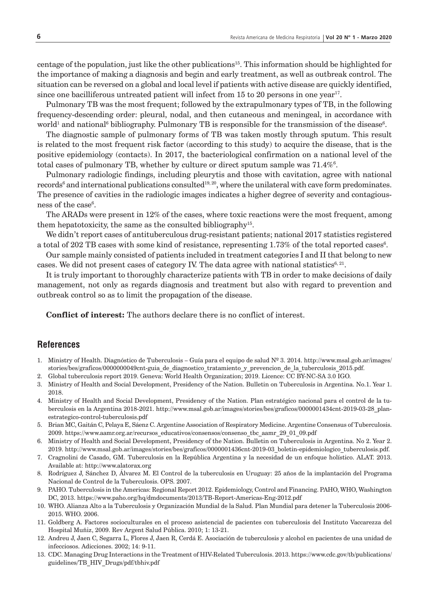centage of the population, just like the other publications15. This information should be highlighted for the importance of making a diagnosis and begin and early treatment, as well as outbreak control. The situation can be reversed on a global and local level if patients with active disease are quickly identified, since one bacilliferous untreated patient will infect from 15 to 20 persons in one year<sup>17</sup>.

Pulmonary TB was the most frequent; followed by the extrapulmonary types of TB, in the following frequency-descending order: pleural, nodal, and then cutaneous and meningeal, in accordance with world<sup>1</sup> and national<sup>6</sup> bibliography. Pulmonary TB is responsible for the transmission of the disease<sup>6</sup>.

The diagnostic sample of pulmonary forms of TB was taken mostly through sputum. This result is related to the most frequent risk factor (according to this study) to acquire the disease, that is the positive epidemiology (contacts). In 2017, the bacteriological confirmation on a national level of the total cases of pulmonary TB, whether by culture or direct sputum sample was  $71.4\%$ .

Pulmonary radiologic findings, including pleurytis and those with cavitation, agree with national records $^6$  and international publications consulted $^{19, 20}$ , where the unilateral with cave form predominates. The presence of cavities in the radiologic images indicates a higher degree of severity and contagious $ness of the case<sup>6</sup>.$ 

The ARADs were present in 12% of the cases, where toxic reactions were the most frequent, among them hepatotoxicity, the same as the consulted bibliography<sup>15</sup>.

We didn't report cases of antituberculous drug-resistant patients; national 2017 statistics registered a total of 202 TB cases with some kind of resistance, representing  $1.73\%$  of the total reported cases $^6$ .

Our sample mainly consisted of patients included in treatment categories I and II that belong to new cases. We did not present cases of category IV. The data agree with national statistics<sup>6, 21</sup>.

It is truly important to thoroughly characterize patients with TB in order to make decisions of daily management, not only as regards diagnosis and treatment but also with regard to prevention and outbreak control so as to limit the propagation of the disease.

**Conflict of interest:** The authors declare there is no conflict of interest.

## **References**

- 1. Ministry of Health. Diagnóstico de Tuberculosis Guía para el equipo de salud Nº 3. 2014. http://www.msal.gob.ar/images/ stories/bes/graficos/0000000049cnt-guia\_de\_diagnostico\_tratamiento\_y\_prevencion\_de\_la\_tuberculosis\_2015.pdf.
- 2. Global tuberculosis report 2019. Geneva: World Health Organization; 2019. Licence: CC BY-NC-SA 3.0 IGO.
- 3. Ministry of Health and Social Development, Presidency of the Nation. Bulletin on Tuberculosis in Argentina. No.1. Year 1. 2018.
- 4. Ministry of Health and Social Development, Presidency of the Nation. Plan estratégico nacional para el control de la tuberculosis en la Argentina 2018-2021. http://www.msal.gob.ar/images/stories/bes/graficos/0000001434cnt-2019-03-28\_planestrategico-control-tuberculosis.pdf
- 5. Brian MC, Gaitán C, Pelaya E, Sáenz C. Argentine Association of Respiratory Medicine. Argentine Consensus of Tuberculosis. 2009. https://www.aamr.org.ar/recursos\_educativos/consensos/consenso\_tbc\_aamr\_29\_01\_09.pdf
- 6. Ministry of Health and Social Development, Presidency of the Nation. Bulletin on Tuberculosis in Argentina. No 2. Year 2. 2019. http://www.msal.gob.ar/images/stories/bes/graficos/0000001436cnt-2019-03\_boletin-epidemiologico\_tuberculosis.pdf.
- 7. Cragnolini de Casado, GM. Tuberculosis en la República Argentina y la necesidad de un enfoque holístico. ALAT. 2013. Available at: http://www.alatorax.org
- 8. Rodríguez J, Sánchez D, Álvarez M. El Control de la tuberculosis en Uruguay: 25 años de la implantación del Programa Nacional de Control de la Tuberculosis. OPS. 2007.
- 9. PAHO. Tuberculosis in the Americas: Regional Report 2012. Epidemiology, Control and Financing. PAHO, WHO, Washington DC, 2013. https://www.paho.org/hq/dmdocuments/2013/TB-Report-Americas-Eng-2012.pdf
- 10. WHO. Alianza Alto a la Tuberculosis y Organización Mundial de la Salud. Plan Mundial para detener la Tuberculosis 2006- 2015. WHO. 2006.
- 11. Goldberg A. Factores socioculturales en el proceso asistencial de pacientes con tuberculosis del Instituto Vaccarezza del Hospital Muñiz, 2009. Rev Argent Salud Pública. 2010; 1: 13-21.
- 12. Andreu J, Jaen C, Segarra L, Flores J, Jaen R, Cerdá E. Asociación de tuberculosis y alcohol en pacientes de una unidad de infecciosos. Adicciones. 2002; 14: 9-11.
- 13. CDC. Managing Drug Interactions in the Treatment of HIV-Related Tuberculosis. 2013. https://www.cdc.gov/tb/publications/ guidelines/TB\_HIV\_Drugs/pdf/tbhiv.pdf